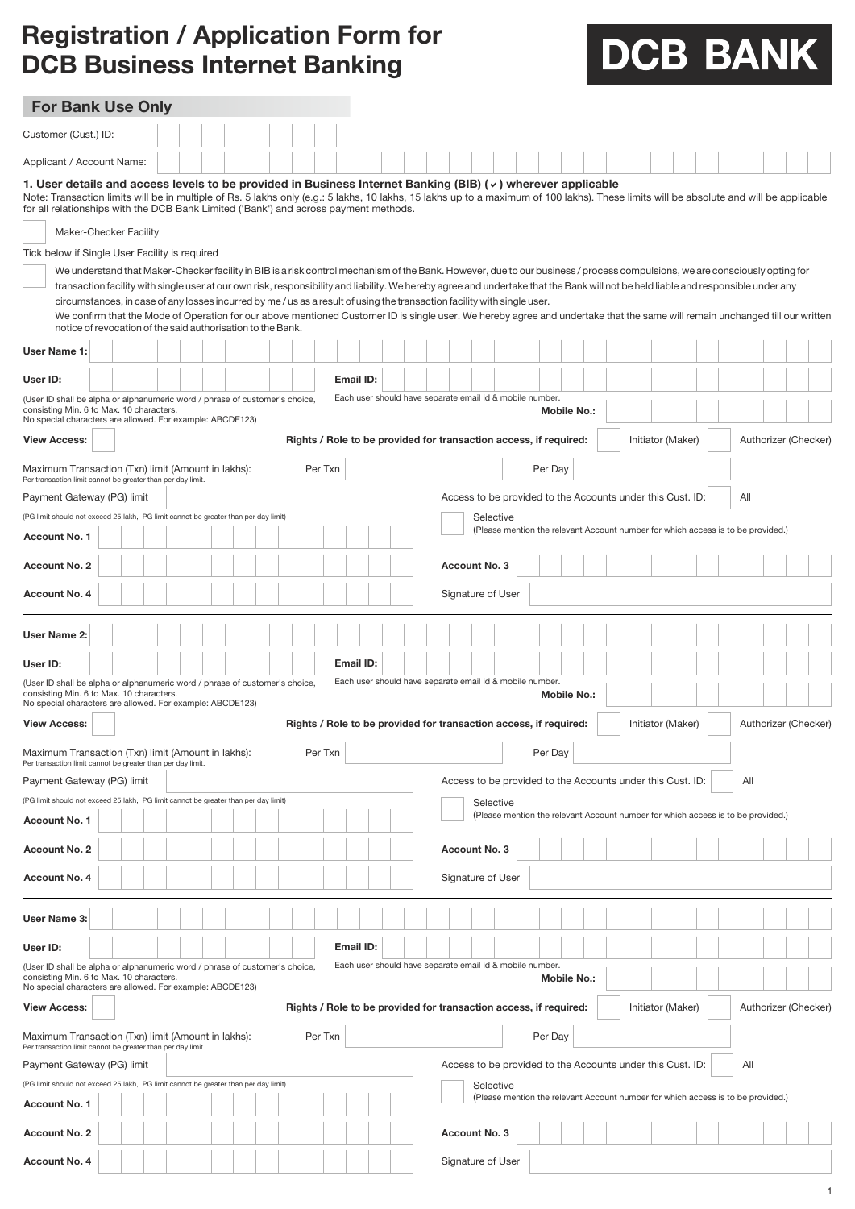## **Registration / Application Form for DCB Business Internet Banking**

## DCB BANK

| <b>For Bank Use Only</b>                                                                                                                                                                                                                                                                                                                                                                                                                                                                                                                                                                                                                                                                                                                                                                                                                                                                                                                                                                                                                                                                                                                                                 |                                                                                                                                         |  |  |  |  |  |  |  |  |  |  |         |                                                                                                                |  |  |                                                                   |     |                                                            |           |  |         |  |                    |  |  |  |  |                   |  |                                                                                  |                      |  |  |
|--------------------------------------------------------------------------------------------------------------------------------------------------------------------------------------------------------------------------------------------------------------------------------------------------------------------------------------------------------------------------------------------------------------------------------------------------------------------------------------------------------------------------------------------------------------------------------------------------------------------------------------------------------------------------------------------------------------------------------------------------------------------------------------------------------------------------------------------------------------------------------------------------------------------------------------------------------------------------------------------------------------------------------------------------------------------------------------------------------------------------------------------------------------------------|-----------------------------------------------------------------------------------------------------------------------------------------|--|--|--|--|--|--|--|--|--|--|---------|----------------------------------------------------------------------------------------------------------------|--|--|-------------------------------------------------------------------|-----|------------------------------------------------------------|-----------|--|---------|--|--------------------|--|--|--|--|-------------------|--|----------------------------------------------------------------------------------|----------------------|--|--|
| Customer (Cust.) ID:                                                                                                                                                                                                                                                                                                                                                                                                                                                                                                                                                                                                                                                                                                                                                                                                                                                                                                                                                                                                                                                                                                                                                     |                                                                                                                                         |  |  |  |  |  |  |  |  |  |  |         |                                                                                                                |  |  |                                                                   |     |                                                            |           |  |         |  |                    |  |  |  |  |                   |  |                                                                                  |                      |  |  |
| Applicant / Account Name:                                                                                                                                                                                                                                                                                                                                                                                                                                                                                                                                                                                                                                                                                                                                                                                                                                                                                                                                                                                                                                                                                                                                                |                                                                                                                                         |  |  |  |  |  |  |  |  |  |  |         |                                                                                                                |  |  |                                                                   |     |                                                            |           |  |         |  |                    |  |  |  |  |                   |  |                                                                                  |                      |  |  |
| 1. User details and access levels to be provided in Business Internet Banking (BIB) ( $\checkmark$ ) wherever applicable<br>Note: Transaction limits will be in multiple of Rs. 5 lakhs only (e.g.: 5 lakhs, 10 lakhs, 15 lakhs up to a maximum of 100 lakhs). These limits will be absolute and will be applicable<br>for all relationships with the DCB Bank Limited ('Bank') and across payment methods.<br>Maker-Checker Facility<br>Tick below if Single User Facility is required<br>We understand that Maker-Checker facility in BIB is a risk control mechanism of the Bank. However, due to our business / process compulsions, we are consciously opting for<br>transaction facility with single user at our own risk, responsibility and liability. We hereby agree and undertake that the Bank will not be held liable and responsible under any<br>circumstances, in case of any losses incurred by me / us as a result of using the transaction facility with single user.<br>We confirm that the Mode of Operation for our above mentioned Customer ID is single user. We hereby agree and undertake that the same will remain unchanged till our written |                                                                                                                                         |  |  |  |  |  |  |  |  |  |  |         |                                                                                                                |  |  |                                                                   |     |                                                            |           |  |         |  |                    |  |  |  |  |                   |  |                                                                                  |                      |  |  |
| notice of revocation of the said authorisation to the Bank.<br><b>User Name 1:</b>                                                                                                                                                                                                                                                                                                                                                                                                                                                                                                                                                                                                                                                                                                                                                                                                                                                                                                                                                                                                                                                                                       |                                                                                                                                         |  |  |  |  |  |  |  |  |  |  |         |                                                                                                                |  |  |                                                                   |     |                                                            |           |  |         |  |                    |  |  |  |  |                   |  |                                                                                  |                      |  |  |
| User ID:                                                                                                                                                                                                                                                                                                                                                                                                                                                                                                                                                                                                                                                                                                                                                                                                                                                                                                                                                                                                                                                                                                                                                                 |                                                                                                                                         |  |  |  |  |  |  |  |  |  |  |         | Email ID:                                                                                                      |  |  |                                                                   |     |                                                            |           |  |         |  |                    |  |  |  |  |                   |  |                                                                                  |                      |  |  |
| Each user should have separate email id & mobile number.<br>(User ID shall be alpha or alphanumeric word / phrase of customer's choice,<br>consisting Min. 6 to Max. 10 characters.<br><b>Mobile No.:</b><br>No special characters are allowed. For example: ABCDE123)                                                                                                                                                                                                                                                                                                                                                                                                                                                                                                                                                                                                                                                                                                                                                                                                                                                                                                   |                                                                                                                                         |  |  |  |  |  |  |  |  |  |  |         |                                                                                                                |  |  |                                                                   |     |                                                            |           |  |         |  |                    |  |  |  |  |                   |  |                                                                                  |                      |  |  |
| <b>View Access:</b>                                                                                                                                                                                                                                                                                                                                                                                                                                                                                                                                                                                                                                                                                                                                                                                                                                                                                                                                                                                                                                                                                                                                                      |                                                                                                                                         |  |  |  |  |  |  |  |  |  |  |         | Initiator (Maker)<br>Authorizer (Checker)<br>Rights / Role to be provided for transaction access, if required: |  |  |                                                                   |     |                                                            |           |  |         |  |                    |  |  |  |  |                   |  |                                                                                  |                      |  |  |
|                                                                                                                                                                                                                                                                                                                                                                                                                                                                                                                                                                                                                                                                                                                                                                                                                                                                                                                                                                                                                                                                                                                                                                          | Maximum Transaction (Txn) limit (Amount in lakhs):<br>Per Txn<br>Per Day<br>Per transaction limit cannot be greater than per day limit. |  |  |  |  |  |  |  |  |  |  |         |                                                                                                                |  |  |                                                                   |     |                                                            |           |  |         |  |                    |  |  |  |  |                   |  |                                                                                  |                      |  |  |
| Payment Gateway (PG) limit<br>Access to be provided to the Accounts under this Cust. ID:                                                                                                                                                                                                                                                                                                                                                                                                                                                                                                                                                                                                                                                                                                                                                                                                                                                                                                                                                                                                                                                                                 |                                                                                                                                         |  |  |  |  |  |  |  |  |  |  |         |                                                                                                                |  |  |                                                                   | All |                                                            |           |  |         |  |                    |  |  |  |  |                   |  |                                                                                  |                      |  |  |
| (PG limit should not exceed 25 lakh, PG limit cannot be greater than per day limit)                                                                                                                                                                                                                                                                                                                                                                                                                                                                                                                                                                                                                                                                                                                                                                                                                                                                                                                                                                                                                                                                                      |                                                                                                                                         |  |  |  |  |  |  |  |  |  |  |         |                                                                                                                |  |  |                                                                   |     |                                                            | Selective |  |         |  |                    |  |  |  |  |                   |  | (Please mention the relevant Account number for which access is to be provided.) |                      |  |  |
| Account No. 1                                                                                                                                                                                                                                                                                                                                                                                                                                                                                                                                                                                                                                                                                                                                                                                                                                                                                                                                                                                                                                                                                                                                                            |                                                                                                                                         |  |  |  |  |  |  |  |  |  |  |         |                                                                                                                |  |  |                                                                   |     |                                                            |           |  |         |  |                    |  |  |  |  |                   |  |                                                                                  |                      |  |  |
| Account No. 2                                                                                                                                                                                                                                                                                                                                                                                                                                                                                                                                                                                                                                                                                                                                                                                                                                                                                                                                                                                                                                                                                                                                                            |                                                                                                                                         |  |  |  |  |  |  |  |  |  |  |         |                                                                                                                |  |  |                                                                   |     | <b>Account No. 3</b>                                       |           |  |         |  |                    |  |  |  |  |                   |  |                                                                                  |                      |  |  |
| Account No. 4                                                                                                                                                                                                                                                                                                                                                                                                                                                                                                                                                                                                                                                                                                                                                                                                                                                                                                                                                                                                                                                                                                                                                            |                                                                                                                                         |  |  |  |  |  |  |  |  |  |  |         |                                                                                                                |  |  |                                                                   |     | Signature of User                                          |           |  |         |  |                    |  |  |  |  |                   |  |                                                                                  |                      |  |  |
| User Name 2:                                                                                                                                                                                                                                                                                                                                                                                                                                                                                                                                                                                                                                                                                                                                                                                                                                                                                                                                                                                                                                                                                                                                                             |                                                                                                                                         |  |  |  |  |  |  |  |  |  |  |         |                                                                                                                |  |  |                                                                   |     |                                                            |           |  |         |  |                    |  |  |  |  |                   |  |                                                                                  |                      |  |  |
| User ID:                                                                                                                                                                                                                                                                                                                                                                                                                                                                                                                                                                                                                                                                                                                                                                                                                                                                                                                                                                                                                                                                                                                                                                 |                                                                                                                                         |  |  |  |  |  |  |  |  |  |  |         | Email ID:                                                                                                      |  |  |                                                                   |     |                                                            |           |  |         |  |                    |  |  |  |  |                   |  |                                                                                  |                      |  |  |
| (User ID shall be alpha or alphanumeric word / phrase of customer's choice,<br>consisting Min. 6 to Max. 10 characters.                                                                                                                                                                                                                                                                                                                                                                                                                                                                                                                                                                                                                                                                                                                                                                                                                                                                                                                                                                                                                                                  |                                                                                                                                         |  |  |  |  |  |  |  |  |  |  |         |                                                                                                                |  |  | Each user should have separate email id & mobile number.          |     |                                                            |           |  |         |  | <b>Mobile No.:</b> |  |  |  |  |                   |  |                                                                                  |                      |  |  |
| No special characters are allowed. For example: ABCDE123)<br><b>View Access:</b>                                                                                                                                                                                                                                                                                                                                                                                                                                                                                                                                                                                                                                                                                                                                                                                                                                                                                                                                                                                                                                                                                         |                                                                                                                                         |  |  |  |  |  |  |  |  |  |  |         |                                                                                                                |  |  | Rights / Role to be provided for transaction access, if required: |     |                                                            |           |  |         |  |                    |  |  |  |  | Initiator (Maker) |  |                                                                                  | Authorizer (Checker) |  |  |
| Maximum Transaction (Txn) limit (Amount in lakhs):<br>Per transaction limit cannot be greater than per day limit.                                                                                                                                                                                                                                                                                                                                                                                                                                                                                                                                                                                                                                                                                                                                                                                                                                                                                                                                                                                                                                                        |                                                                                                                                         |  |  |  |  |  |  |  |  |  |  | Per Txn |                                                                                                                |  |  |                                                                   |     |                                                            |           |  | Per Day |  |                    |  |  |  |  |                   |  |                                                                                  |                      |  |  |
| Payment Gateway (PG) limit                                                                                                                                                                                                                                                                                                                                                                                                                                                                                                                                                                                                                                                                                                                                                                                                                                                                                                                                                                                                                                                                                                                                               |                                                                                                                                         |  |  |  |  |  |  |  |  |  |  |         |                                                                                                                |  |  |                                                                   |     | Access to be provided to the Accounts under this Cust. ID: |           |  |         |  |                    |  |  |  |  |                   |  | All                                                                              |                      |  |  |
| (PG limit should not exceed 25 lakh, PG limit cannot be greater than per day limit)                                                                                                                                                                                                                                                                                                                                                                                                                                                                                                                                                                                                                                                                                                                                                                                                                                                                                                                                                                                                                                                                                      |                                                                                                                                         |  |  |  |  |  |  |  |  |  |  |         |                                                                                                                |  |  |                                                                   |     |                                                            | Selective |  |         |  |                    |  |  |  |  |                   |  | (Please mention the relevant Account number for which access is to be provided.) |                      |  |  |
| Account No. 1                                                                                                                                                                                                                                                                                                                                                                                                                                                                                                                                                                                                                                                                                                                                                                                                                                                                                                                                                                                                                                                                                                                                                            |                                                                                                                                         |  |  |  |  |  |  |  |  |  |  |         |                                                                                                                |  |  |                                                                   |     |                                                            |           |  |         |  |                    |  |  |  |  |                   |  |                                                                                  |                      |  |  |
| Account No. 2                                                                                                                                                                                                                                                                                                                                                                                                                                                                                                                                                                                                                                                                                                                                                                                                                                                                                                                                                                                                                                                                                                                                                            |                                                                                                                                         |  |  |  |  |  |  |  |  |  |  |         |                                                                                                                |  |  |                                                                   |     | Account No. 3                                              |           |  |         |  |                    |  |  |  |  |                   |  |                                                                                  |                      |  |  |
| Account No. 4                                                                                                                                                                                                                                                                                                                                                                                                                                                                                                                                                                                                                                                                                                                                                                                                                                                                                                                                                                                                                                                                                                                                                            |                                                                                                                                         |  |  |  |  |  |  |  |  |  |  |         |                                                                                                                |  |  |                                                                   |     | Signature of User                                          |           |  |         |  |                    |  |  |  |  |                   |  |                                                                                  |                      |  |  |
| User Name 3:                                                                                                                                                                                                                                                                                                                                                                                                                                                                                                                                                                                                                                                                                                                                                                                                                                                                                                                                                                                                                                                                                                                                                             |                                                                                                                                         |  |  |  |  |  |  |  |  |  |  |         |                                                                                                                |  |  |                                                                   |     |                                                            |           |  |         |  |                    |  |  |  |  |                   |  |                                                                                  |                      |  |  |
| User ID:                                                                                                                                                                                                                                                                                                                                                                                                                                                                                                                                                                                                                                                                                                                                                                                                                                                                                                                                                                                                                                                                                                                                                                 |                                                                                                                                         |  |  |  |  |  |  |  |  |  |  |         | Email ID:                                                                                                      |  |  |                                                                   |     |                                                            |           |  |         |  |                    |  |  |  |  |                   |  |                                                                                  |                      |  |  |
| (User ID shall be alpha or alphanumeric word / phrase of customer's choice,<br>consisting Min. 6 to Max. 10 characters.<br>No special characters are allowed. For example: ABCDE123)                                                                                                                                                                                                                                                                                                                                                                                                                                                                                                                                                                                                                                                                                                                                                                                                                                                                                                                                                                                     |                                                                                                                                         |  |  |  |  |  |  |  |  |  |  |         |                                                                                                                |  |  | Each user should have separate email id & mobile number.          |     |                                                            |           |  |         |  | <b>Mobile No.:</b> |  |  |  |  |                   |  |                                                                                  |                      |  |  |
| <b>View Access:</b>                                                                                                                                                                                                                                                                                                                                                                                                                                                                                                                                                                                                                                                                                                                                                                                                                                                                                                                                                                                                                                                                                                                                                      |                                                                                                                                         |  |  |  |  |  |  |  |  |  |  |         |                                                                                                                |  |  | Rights / Role to be provided for transaction access, if required: |     |                                                            |           |  |         |  |                    |  |  |  |  | Initiator (Maker) |  |                                                                                  | Authorizer (Checker) |  |  |
| Maximum Transaction (Txn) limit (Amount in lakhs):<br>Per transaction limit cannot be greater than per day limit.                                                                                                                                                                                                                                                                                                                                                                                                                                                                                                                                                                                                                                                                                                                                                                                                                                                                                                                                                                                                                                                        |                                                                                                                                         |  |  |  |  |  |  |  |  |  |  | Per Txn |                                                                                                                |  |  |                                                                   |     |                                                            |           |  | Per Day |  |                    |  |  |  |  |                   |  |                                                                                  |                      |  |  |
| Payment Gateway (PG) limit<br>Access to be provided to the Accounts under this Cust. ID:<br>All                                                                                                                                                                                                                                                                                                                                                                                                                                                                                                                                                                                                                                                                                                                                                                                                                                                                                                                                                                                                                                                                          |                                                                                                                                         |  |  |  |  |  |  |  |  |  |  |         |                                                                                                                |  |  |                                                                   |     |                                                            |           |  |         |  |                    |  |  |  |  |                   |  |                                                                                  |                      |  |  |
| (PG limit should not exceed 25 lakh, PG limit cannot be greater than per day limit)<br>Account No. 1                                                                                                                                                                                                                                                                                                                                                                                                                                                                                                                                                                                                                                                                                                                                                                                                                                                                                                                                                                                                                                                                     |                                                                                                                                         |  |  |  |  |  |  |  |  |  |  |         |                                                                                                                |  |  |                                                                   |     |                                                            | Selective |  |         |  |                    |  |  |  |  |                   |  | (Please mention the relevant Account number for which access is to be provided.) |                      |  |  |
| <b>Account No. 2</b>                                                                                                                                                                                                                                                                                                                                                                                                                                                                                                                                                                                                                                                                                                                                                                                                                                                                                                                                                                                                                                                                                                                                                     |                                                                                                                                         |  |  |  |  |  |  |  |  |  |  |         |                                                                                                                |  |  |                                                                   |     | Account No. 3                                              |           |  |         |  |                    |  |  |  |  |                   |  |                                                                                  |                      |  |  |
| Account No. 4                                                                                                                                                                                                                                                                                                                                                                                                                                                                                                                                                                                                                                                                                                                                                                                                                                                                                                                                                                                                                                                                                                                                                            |                                                                                                                                         |  |  |  |  |  |  |  |  |  |  |         |                                                                                                                |  |  |                                                                   |     | Signature of User                                          |           |  |         |  |                    |  |  |  |  |                   |  |                                                                                  |                      |  |  |